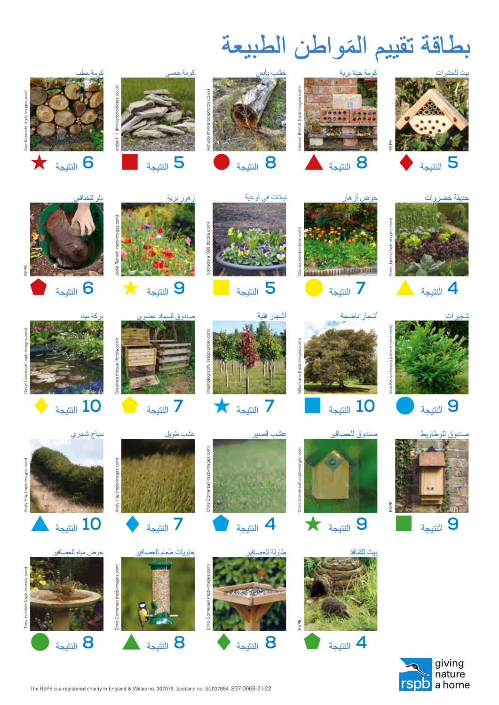**Cerdyn sgorio cartref i fyd natur** ين الطبيعة السنة المستخدمات المستخدمات